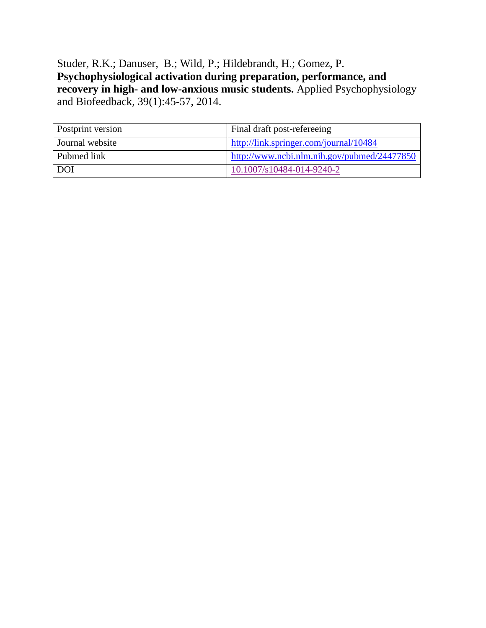Studer, R.K.; Danuser, B.; Wild, P.; Hildebrandt, H.; Gomez, P. **Psychophysiological activation during preparation, performance, and recovery in high- and low-anxious music students.** Applied Psychophysiology and Biofeedback, 39(1):45-57, 2014.

| Postprint version | Final draft post-refereeing                                                                                           |
|-------------------|-----------------------------------------------------------------------------------------------------------------------|
| Journal website   | http://link.springer.com/journal/10484                                                                                |
| Pubmed link       | $\frac{1 \text{ http://www.ncbi.nlm.nih.gov/pubmed/24477850}}{2 \text{ http://www.ncbi.nlm.nih.gov/pubmed/24477850}}$ |
| <b>DOI</b>        | 10.1007/s10484-014-9240-2                                                                                             |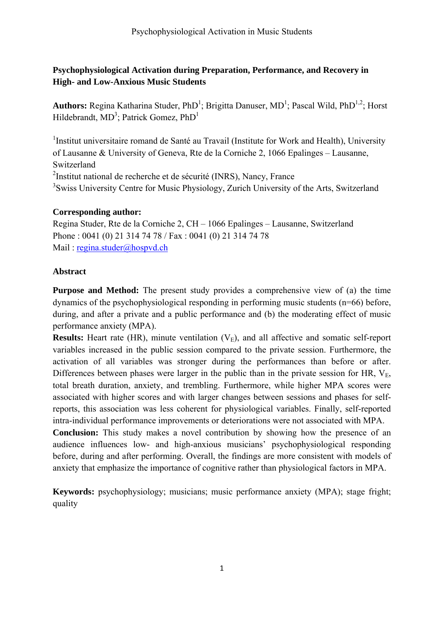# **Psychophysiological Activation during Preparation, Performance, and Recovery in High- and Low-Anxious Music Students**

Authors: Regina Katharina Studer, PhD<sup>1</sup>; Brigitta Danuser, MD<sup>1</sup>; Pascal Wild, PhD<sup>1,2</sup>; Horst Hildebrandt,  $MD^3$ ; Patrick Gomez, Ph $D^1$ 

<sup>1</sup>Institut universitaire romand de Santé au Travail (Institute for Work and Health), University of Lausanne & University of Geneva, Rte de la Corniche 2, 1066 Epalinges – Lausanne, Switzerland <sup>2</sup>Institut national de recherche et de sécurité (INRS), Nancy, France <sup>3</sup>Swiss University Centre for Music Physiology, Zurich University of the Arts, Switzerland

# **Corresponding author:**

Regina Studer, Rte de la Corniche 2, CH – 1066 Epalinges – Lausanne, Switzerland Phone : 0041 (0) 21 314 74 78 / Fax : 0041 (0) 21 314 74 78 Mail : regina.studer@hospvd.ch

# **Abstract**

**Purpose and Method:** The present study provides a comprehensive view of (a) the time dynamics of the psychophysiological responding in performing music students (n=66) before, during, and after a private and a public performance and (b) the moderating effect of music performance anxiety (MPA).

**Results:** Heart rate (HR), minute ventilation  $(V_E)$ , and all affective and somatic self-report variables increased in the public session compared to the private session. Furthermore, the activation of all variables was stronger during the performances than before or after. Differences between phases were larger in the public than in the private session for HR,  $V_{E_2}$ , total breath duration, anxiety, and trembling. Furthermore, while higher MPA scores were associated with higher scores and with larger changes between sessions and phases for selfreports, this association was less coherent for physiological variables. Finally, self-reported intra-individual performance improvements or deteriorations were not associated with MPA. **Conclusion:** This study makes a novel contribution by showing how the presence of an audience influences low- and high-anxious musicians' psychophysiological responding before, during and after performing. Overall, the findings are more consistent with models of anxiety that emphasize the importance of cognitive rather than physiological factors in MPA.

**Keywords:** psychophysiology; musicians; music performance anxiety (MPA); stage fright; quality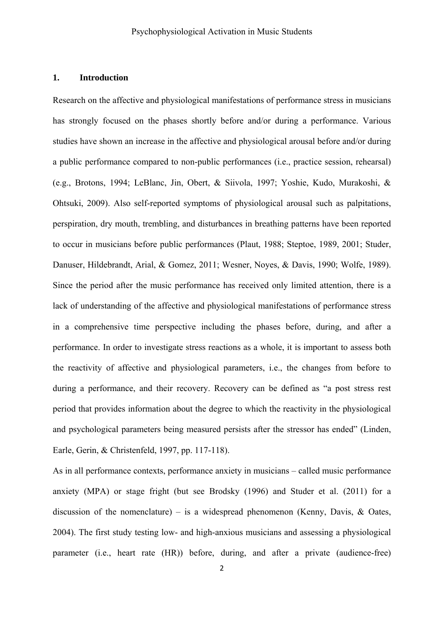# **1. Introduction**

Research on the affective and physiological manifestations of performance stress in musicians has strongly focused on the phases shortly before and/or during a performance. Various studies have shown an increase in the affective and physiological arousal before and/or during a public performance compared to non-public performances (i.e., practice session, rehearsal) (e.g., Brotons, 1994; LeBlanc, Jin, Obert, & Siivola, 1997; Yoshie, Kudo, Murakoshi, & Ohtsuki, 2009). Also self-reported symptoms of physiological arousal such as palpitations, perspiration, dry mouth, trembling, and disturbances in breathing patterns have been reported to occur in musicians before public performances (Plaut, 1988; Steptoe, 1989, 2001; Studer, Danuser, Hildebrandt, Arial, & Gomez, 2011; Wesner, Noyes, & Davis, 1990; Wolfe, 1989). Since the period after the music performance has received only limited attention, there is a lack of understanding of the affective and physiological manifestations of performance stress in a comprehensive time perspective including the phases before, during, and after a performance. In order to investigate stress reactions as a whole, it is important to assess both the reactivity of affective and physiological parameters, i.e., the changes from before to during a performance, and their recovery. Recovery can be defined as "a post stress rest period that provides information about the degree to which the reactivity in the physiological and psychological parameters being measured persists after the stressor has ended" (Linden, Earle, Gerin, & Christenfeld, 1997, pp. 117-118).

As in all performance contexts, performance anxiety in musicians – called music performance anxiety (MPA) or stage fright (but see Brodsky (1996) and Studer et al. (2011) for a discussion of the nomenclature) – is a widespread phenomenon (Kenny, Davis,  $\&$  Oates, 2004). The first study testing low- and high-anxious musicians and assessing a physiological parameter (i.e., heart rate (HR)) before, during, and after a private (audience-free)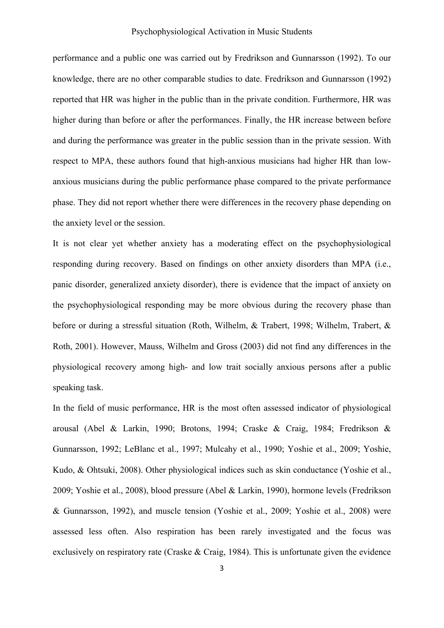### Psychophysiological Activation in Music Students

performance and a public one was carried out by Fredrikson and Gunnarsson (1992). To our knowledge, there are no other comparable studies to date. Fredrikson and Gunnarsson (1992) reported that HR was higher in the public than in the private condition. Furthermore, HR was higher during than before or after the performances. Finally, the HR increase between before and during the performance was greater in the public session than in the private session. With respect to MPA, these authors found that high-anxious musicians had higher HR than lowanxious musicians during the public performance phase compared to the private performance phase. They did not report whether there were differences in the recovery phase depending on the anxiety level or the session.

It is not clear yet whether anxiety has a moderating effect on the psychophysiological responding during recovery. Based on findings on other anxiety disorders than MPA (i.e., panic disorder, generalized anxiety disorder), there is evidence that the impact of anxiety on the psychophysiological responding may be more obvious during the recovery phase than before or during a stressful situation (Roth, Wilhelm, & Trabert, 1998; Wilhelm, Trabert, & Roth, 2001). However, Mauss, Wilhelm and Gross (2003) did not find any differences in the physiological recovery among high- and low trait socially anxious persons after a public speaking task.

In the field of music performance, HR is the most often assessed indicator of physiological arousal (Abel & Larkin, 1990; Brotons, 1994; Craske & Craig, 1984; Fredrikson & Gunnarsson, 1992; LeBlanc et al., 1997; Mulcahy et al., 1990; Yoshie et al., 2009; Yoshie, Kudo, & Ohtsuki, 2008). Other physiological indices such as skin conductance (Yoshie et al., 2009; Yoshie et al., 2008), blood pressure (Abel & Larkin, 1990), hormone levels (Fredrikson & Gunnarsson, 1992), and muscle tension (Yoshie et al., 2009; Yoshie et al., 2008) were assessed less often. Also respiration has been rarely investigated and the focus was exclusively on respiratory rate (Craske  $& Craig, 1984$ ). This is unfortunate given the evidence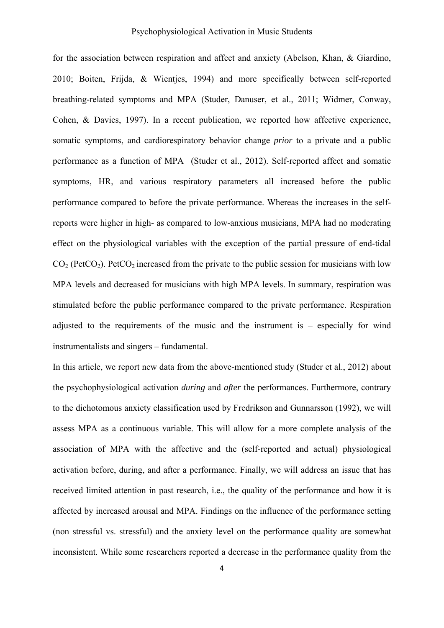### Psychophysiological Activation in Music Students

for the association between respiration and affect and anxiety (Abelson, Khan, & Giardino, 2010; Boiten, Frijda, & Wientjes, 1994) and more specifically between self-reported breathing-related symptoms and MPA (Studer, Danuser, et al., 2011; Widmer, Conway, Cohen, & Davies, 1997). In a recent publication, we reported how affective experience, somatic symptoms, and cardiorespiratory behavior change *prior* to a private and a public performance as a function of MPA (Studer et al., 2012). Self-reported affect and somatic symptoms, HR, and various respiratory parameters all increased before the public performance compared to before the private performance. Whereas the increases in the selfreports were higher in high- as compared to low-anxious musicians, MPA had no moderating effect on the physiological variables with the exception of the partial pressure of end-tidal  $CO<sub>2</sub>$  (PetCO<sub>2</sub>). PetCO<sub>2</sub> increased from the private to the public session for musicians with low MPA levels and decreased for musicians with high MPA levels. In summary, respiration was stimulated before the public performance compared to the private performance. Respiration adjusted to the requirements of the music and the instrument is – especially for wind instrumentalists and singers – fundamental.

In this article, we report new data from the above-mentioned study (Studer et al., 2012) about the psychophysiological activation *during* and *after* the performances. Furthermore, contrary to the dichotomous anxiety classification used by Fredrikson and Gunnarsson (1992), we will assess MPA as a continuous variable. This will allow for a more complete analysis of the association of MPA with the affective and the (self-reported and actual) physiological activation before, during, and after a performance. Finally, we will address an issue that has received limited attention in past research, i.e., the quality of the performance and how it is affected by increased arousal and MPA. Findings on the influence of the performance setting (non stressful vs. stressful) and the anxiety level on the performance quality are somewhat inconsistent. While some researchers reported a decrease in the performance quality from the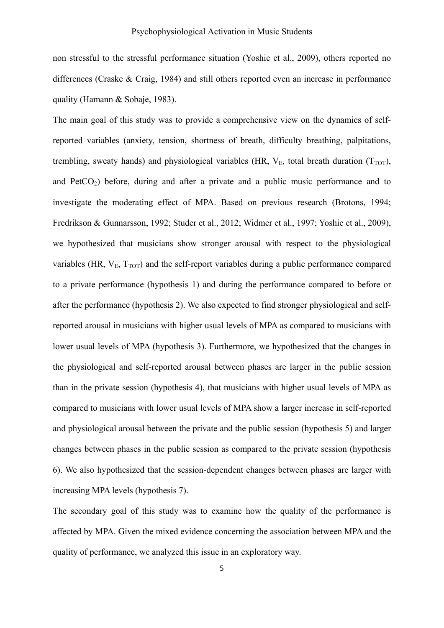non stressful to the stressful performance situation (Yoshie et al., 2009), others reported no differences (Craske & Craig, 1984) and still others reported even an increase in performance quality (Hamann & Sobaje, 1983).

The main goal of this study was to provide a comprehensive view on the dynamics of selfreported variables (anxiety, tension, shortness of breath, difficulty breathing, palpitations, trembling, sweaty hands) and physiological variables (HR,  $V_E$ , total breath duration ( $T_{TOT}$ ), and  $PetCO<sub>2</sub>$ ) before, during and after a private and a public music performance and to investigate the moderating effect of MPA. Based on previous research (Brotons, 1994; Fredrikson & Gunnarsson, 1992; Studer et al., 2012; Widmer et al., 1997; Yoshie et al., 2009), we hypothesized that musicians show stronger arousal with respect to the physiological variables (HR,  $V_E$ ,  $T_{TOT}$ ) and the self-report variables during a public performance compared to a private performance (hypothesis 1) and during the performance compared to before or after the performance (hypothesis 2). We also expected to find stronger physiological and selfreported arousal in musicians with higher usual levels of MPA as compared to musicians with lower usual levels of MPA (hypothesis 3). Furthermore, we hypothesized that the changes in the physiological and self-reported arousal between phases are larger in the public session than in the private session (hypothesis 4), that musicians with higher usual levels of MPA as compared to musicians with lower usual levels of MPA show a larger increase in self-reported and physiological arousal between the private and the public session (hypothesis 5) and larger changes between phases in the public session as compared to the private session (hypothesis 6). We also hypothesized that the session-dependent changes between phases are larger with increasing MPA levels (hypothesis 7).

The secondary goal of this study was to examine how the quality of the performance is affected by MPA. Given the mixed evidence concerning the association between MPA and the quality of performance, we analyzed this issue in an exploratory way.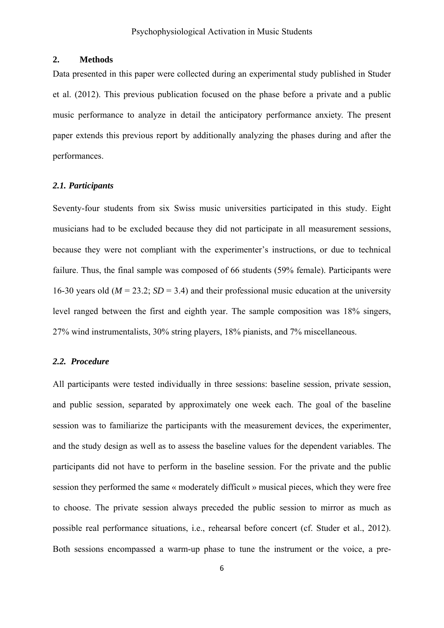### **2. Methods**

Data presented in this paper were collected during an experimental study published in Studer et al. (2012). This previous publication focused on the phase before a private and a public music performance to analyze in detail the anticipatory performance anxiety. The present paper extends this previous report by additionally analyzing the phases during and after the performances.

### *2.1. Participants*

Seventy-four students from six Swiss music universities participated in this study. Eight musicians had to be excluded because they did not participate in all measurement sessions, because they were not compliant with the experimenter's instructions, or due to technical failure. Thus, the final sample was composed of 66 students (59% female). Participants were 16-30 years old ( $M = 23.2$ ;  $SD = 3.4$ ) and their professional music education at the university level ranged between the first and eighth year. The sample composition was 18% singers, 27% wind instrumentalists, 30% string players, 18% pianists, and 7% miscellaneous.

#### *2.2. Procedure*

All participants were tested individually in three sessions: baseline session, private session, and public session, separated by approximately one week each. The goal of the baseline session was to familiarize the participants with the measurement devices, the experimenter, and the study design as well as to assess the baseline values for the dependent variables. The participants did not have to perform in the baseline session. For the private and the public session they performed the same « moderately difficult » musical pieces, which they were free to choose. The private session always preceded the public session to mirror as much as possible real performance situations, i.e., rehearsal before concert (cf. Studer et al., 2012). Both sessions encompassed a warm-up phase to tune the instrument or the voice, a pre-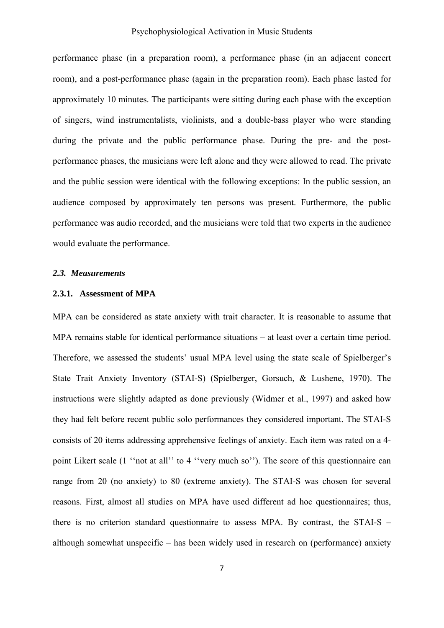### Psychophysiological Activation in Music Students

performance phase (in a preparation room), a performance phase (in an adjacent concert room), and a post-performance phase (again in the preparation room). Each phase lasted for approximately 10 minutes. The participants were sitting during each phase with the exception of singers, wind instrumentalists, violinists, and a double-bass player who were standing during the private and the public performance phase. During the pre- and the postperformance phases, the musicians were left alone and they were allowed to read. The private and the public session were identical with the following exceptions: In the public session, an audience composed by approximately ten persons was present. Furthermore, the public performance was audio recorded, and the musicians were told that two experts in the audience would evaluate the performance.

### *2.3. Measurements*

### **2.3.1. Assessment of MPA**

MPA can be considered as state anxiety with trait character. It is reasonable to assume that MPA remains stable for identical performance situations – at least over a certain time period. Therefore, we assessed the students' usual MPA level using the state scale of Spielberger's State Trait Anxiety Inventory (STAI-S) (Spielberger, Gorsuch, & Lushene, 1970). The instructions were slightly adapted as done previously (Widmer et al., 1997) and asked how they had felt before recent public solo performances they considered important. The STAI-S consists of 20 items addressing apprehensive feelings of anxiety. Each item was rated on a 4 point Likert scale (1 ''not at all'' to 4 ''very much so''). The score of this questionnaire can range from 20 (no anxiety) to 80 (extreme anxiety). The STAI-S was chosen for several reasons. First, almost all studies on MPA have used different ad hoc questionnaires; thus, there is no criterion standard questionnaire to assess MPA. By contrast, the STAI-S – although somewhat unspecific – has been widely used in research on (performance) anxiety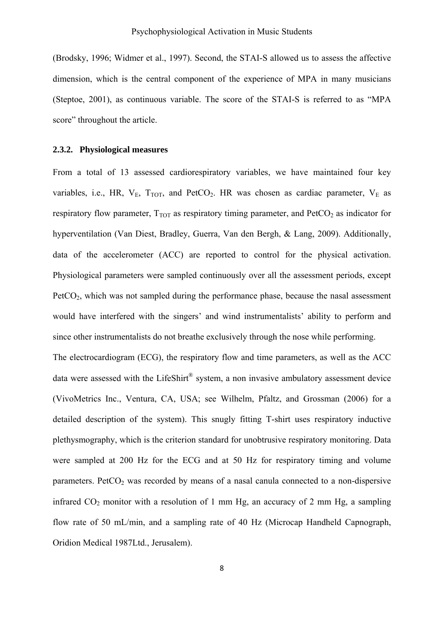(Brodsky, 1996; Widmer et al., 1997). Second, the STAI-S allowed us to assess the affective dimension, which is the central component of the experience of MPA in many musicians (Steptoe, 2001), as continuous variable. The score of the STAI-S is referred to as "MPA score" throughout the article.

### **2.3.2. Physiological measures**

From a total of 13 assessed cardiorespiratory variables, we have maintained four key variables, i.e., HR,  $V_{E}$ ,  $T_{TOT}$ , and  $PetCO<sub>2</sub>$ . HR was chosen as cardiac parameter,  $V_{E}$  as respiratory flow parameter,  $T_{TOT}$  as respiratory timing parameter, and  $PetCO<sub>2</sub>$  as indicator for hyperventilation (Van Diest, Bradley, Guerra, Van den Bergh, & Lang, 2009). Additionally, data of the accelerometer (ACC) are reported to control for the physical activation. Physiological parameters were sampled continuously over all the assessment periods, except  $PetCO<sub>2</sub>$ , which was not sampled during the performance phase, because the nasal assessment would have interfered with the singers' and wind instrumentalists' ability to perform and since other instrumentalists do not breathe exclusively through the nose while performing.

The electrocardiogram (ECG), the respiratory flow and time parameters, as well as the ACC data were assessed with the LifeShirt<sup>®</sup> system, a non invasive ambulatory assessment device (VivoMetrics Inc., Ventura, CA, USA; see Wilhelm, Pfaltz, and Grossman (2006) for a detailed description of the system). This snugly fitting T-shirt uses respiratory inductive plethysmography, which is the criterion standard for unobtrusive respiratory monitoring. Data were sampled at 200 Hz for the ECG and at 50 Hz for respiratory timing and volume parameters. Pet $CO<sub>2</sub>$  was recorded by means of a nasal canula connected to a non-dispersive infrared  $CO<sub>2</sub>$  monitor with a resolution of 1 mm Hg, an accuracy of 2 mm Hg, a sampling flow rate of 50 mL/min, and a sampling rate of 40 Hz (Microcap Handheld Capnograph, Oridion Medical 1987Ltd., Jerusalem).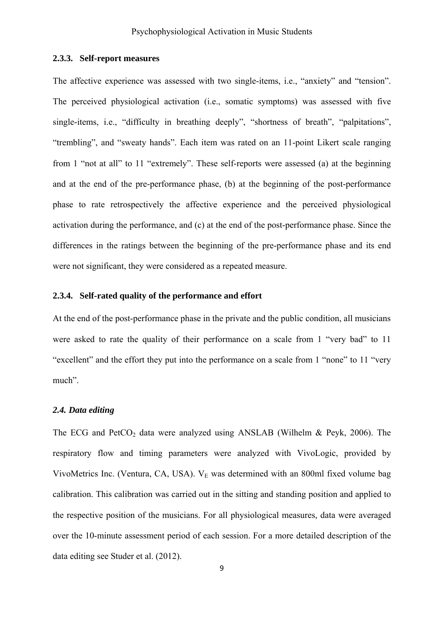# **2.3.3. Self-report measures**

The affective experience was assessed with two single-items, i.e., "anxiety" and "tension". The perceived physiological activation (i.e., somatic symptoms) was assessed with five single-items, i.e., "difficulty in breathing deeply", "shortness of breath", "palpitations", "trembling", and "sweaty hands". Each item was rated on an 11-point Likert scale ranging from 1 "not at all" to 11 "extremely". These self-reports were assessed (a) at the beginning and at the end of the pre-performance phase, (b) at the beginning of the post-performance phase to rate retrospectively the affective experience and the perceived physiological activation during the performance, and (c) at the end of the post-performance phase. Since the differences in the ratings between the beginning of the pre-performance phase and its end were not significant, they were considered as a repeated measure.

## **2.3.4. Self-rated quality of the performance and effort**

At the end of the post-performance phase in the private and the public condition, all musicians were asked to rate the quality of their performance on a scale from 1 "very bad" to 11 "excellent" and the effort they put into the performance on a scale from 1 "none" to 11 "very much".

### *2.4. Data editing*

The ECG and PetCO<sub>2</sub> data were analyzed using ANSLAB (Wilhelm & Peyk, 2006). The respiratory flow and timing parameters were analyzed with VivoLogic, provided by VivoMetrics Inc. (Ventura, CA, USA). V<sub>E</sub> was determined with an 800ml fixed volume bag calibration. This calibration was carried out in the sitting and standing position and applied to the respective position of the musicians. For all physiological measures, data were averaged over the 10-minute assessment period of each session. For a more detailed description of the data editing see Studer et al. (2012).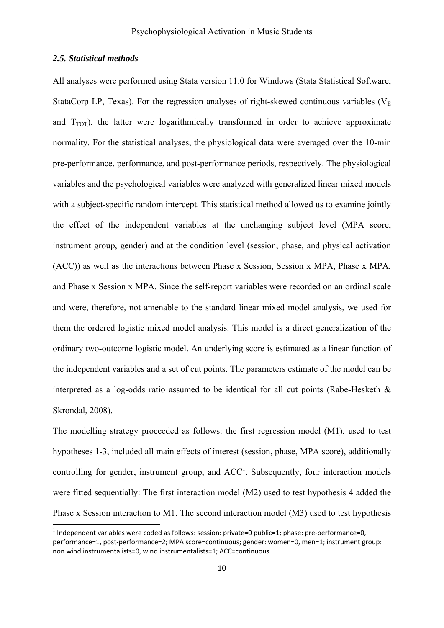### *2.5. Statistical methods*

All analyses were performed using Stata version 11.0 for Windows (Stata Statistical Software, StataCorp LP, Texas). For the regression analyses of right-skewed continuous variables ( $V<sub>E</sub>$ and  $T_{TOT}$ ), the latter were logarithmically transformed in order to achieve approximate normality. For the statistical analyses, the physiological data were averaged over the 10-min pre-performance, performance, and post-performance periods, respectively. The physiological variables and the psychological variables were analyzed with generalized linear mixed models with a subject-specific random intercept. This statistical method allowed us to examine jointly the effect of the independent variables at the unchanging subject level (MPA score, instrument group, gender) and at the condition level (session, phase, and physical activation (ACC)) as well as the interactions between Phase x Session, Session x MPA, Phase x MPA, and Phase x Session x MPA. Since the self-report variables were recorded on an ordinal scale and were, therefore, not amenable to the standard linear mixed model analysis, we used for them the ordered logistic mixed model analysis. This model is a direct generalization of the ordinary two-outcome logistic model. An underlying score is estimated as a linear function of the independent variables and a set of cut points. The parameters estimate of the model can be interpreted as a log-odds ratio assumed to be identical for all cut points (Rabe-Hesketh  $\&$ Skrondal, 2008).

The modelling strategy proceeded as follows: the first regression model (M1), used to test hypotheses 1-3, included all main effects of interest (session, phase, MPA score), additionally controlling for gender, instrument group, and  $ACC<sup>1</sup>$ . Subsequently, four interaction models were fitted sequentially: The first interaction model (M2) used to test hypothesis 4 added the Phase x Session interaction to M1. The second interaction model (M3) used to test hypothesis

 $<sup>1</sup>$  Independent variables were coded as follows: session: private=0 public=1; phase: pre-performance=0,</sup> performance=1, post‐performance=2; MPA score=continuous; gender: women=0, men=1; instrument group: non wind instrumentalists=0, wind instrumentalists=1; ACC=continuous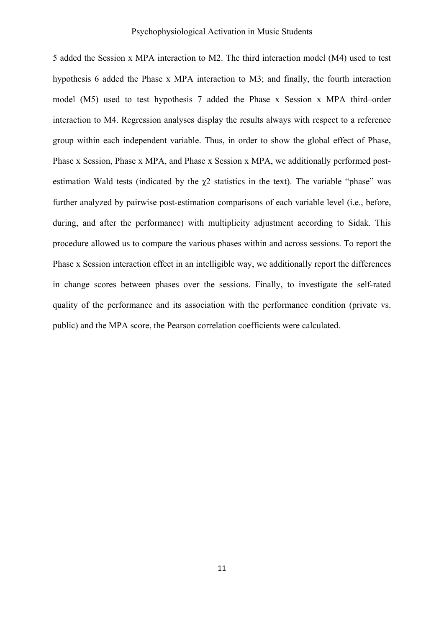5 added the Session x MPA interaction to M2. The third interaction model (M4) used to test hypothesis 6 added the Phase x MPA interaction to M3; and finally, the fourth interaction model (M5) used to test hypothesis 7 added the Phase x Session x MPA third–order interaction to M4. Regression analyses display the results always with respect to a reference group within each independent variable. Thus, in order to show the global effect of Phase, Phase x Session, Phase x MPA, and Phase x Session x MPA, we additionally performed postestimation Wald tests (indicated by the  $\gamma$ 2 statistics in the text). The variable "phase" was further analyzed by pairwise post-estimation comparisons of each variable level (i.e., before, during, and after the performance) with multiplicity adjustment according to Sidak. This procedure allowed us to compare the various phases within and across sessions. To report the Phase x Session interaction effect in an intelligible way, we additionally report the differences in change scores between phases over the sessions. Finally, to investigate the self-rated quality of the performance and its association with the performance condition (private vs. public) and the MPA score, the Pearson correlation coefficients were calculated.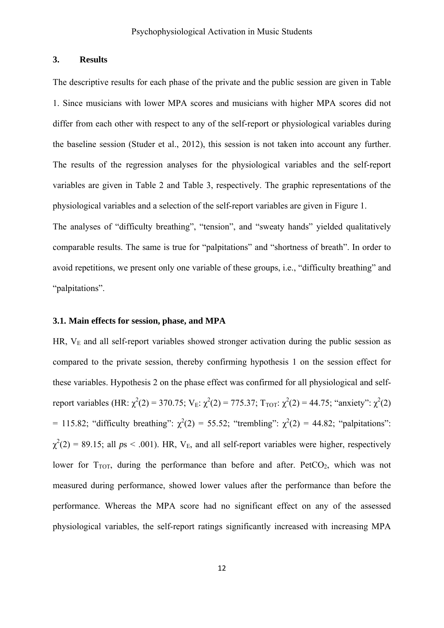### **3. Results**

The descriptive results for each phase of the private and the public session are given in Table 1. Since musicians with lower MPA scores and musicians with higher MPA scores did not differ from each other with respect to any of the self-report or physiological variables during the baseline session (Studer et al., 2012), this session is not taken into account any further. The results of the regression analyses for the physiological variables and the self-report variables are given in Table 2 and Table 3, respectively. The graphic representations of the physiological variables and a selection of the self-report variables are given in Figure 1.

The analyses of "difficulty breathing", "tension", and "sweaty hands" yielded qualitatively comparable results. The same is true for "palpitations" and "shortness of breath". In order to avoid repetitions, we present only one variable of these groups, i.e., "difficulty breathing" and "palpitations".

### **3.1. Main effects for session, phase, and MPA**

HR,  $V<sub>E</sub>$  and all self-report variables showed stronger activation during the public session as compared to the private session, thereby confirming hypothesis 1 on the session effect for these variables. Hypothesis 2 on the phase effect was confirmed for all physiological and selfreport variables (HR:  $\chi^2(2) = 370.75$ ; V<sub>E</sub>:  $\chi^2(2) = 775.37$ ; T<sub>TOT</sub>:  $\chi^2(2) = 44.75$ ; "anxiety":  $\chi^2(2)$ = 115.82; "difficulty breathing":  $\chi^2(2)$  = 55.52; "trembling":  $\chi^2(2)$  = 44.82; "palpitations":  $\chi^2(2) = 89.15$ ; all  $ps < .001$ ). HR, V<sub>E</sub>, and all self-report variables were higher, respectively lower for  $T_{TOT}$ , during the performance than before and after. PetCO<sub>2</sub>, which was not measured during performance, showed lower values after the performance than before the performance. Whereas the MPA score had no significant effect on any of the assessed physiological variables, the self-report ratings significantly increased with increasing MPA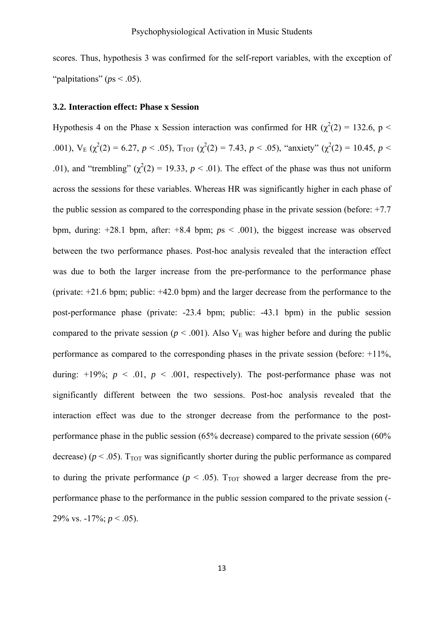scores. Thus, hypothesis 3 was confirmed for the self-report variables, with the exception of "palpitations" ( $ps < .05$ ).

### **3.2. Interaction effect: Phase x Session**

Hypothesis 4 on the Phase x Session interaction was confirmed for HR  $(\chi^2(2) = 132.6, p <$ .001),  $V_E(\chi^2(2) = 6.27, p < .05)$ ,  $T_{TOT}(\chi^2(2) = 7.43, p < .05)$ , "anxiety" ( $\chi^2(2) = 10.45, p < .05$ ) .01), and "trembling"  $(\chi^2(2) = 19.33, p < .01)$ . The effect of the phase was thus not uniform across the sessions for these variables. Whereas HR was significantly higher in each phase of the public session as compared to the corresponding phase in the private session (before: +7.7 bpm, during: +28.1 bpm, after: +8.4 bpm; *p*s < .001), the biggest increase was observed between the two performance phases. Post-hoc analysis revealed that the interaction effect was due to both the larger increase from the pre-performance to the performance phase (private: +21.6 bpm; public: +42.0 bpm) and the larger decrease from the performance to the post-performance phase (private: -23.4 bpm; public: -43.1 bpm) in the public session compared to the private session ( $p < .001$ ). Also V<sub>E</sub> was higher before and during the public performance as compared to the corresponding phases in the private session (before: +11%, during:  $+19\%$ ;  $p < 0.01$ ,  $p < 0.001$ , respectively). The post-performance phase was not significantly different between the two sessions. Post-hoc analysis revealed that the interaction effect was due to the stronger decrease from the performance to the postperformance phase in the public session (65% decrease) compared to the private session (60% decrease) ( $p < .05$ ). T<sub>TOT</sub> was significantly shorter during the public performance as compared to during the private performance ( $p < .05$ ). T<sub>TOT</sub> showed a larger decrease from the preperformance phase to the performance in the public session compared to the private session (- 29% vs.  $-17\%$ ;  $p < .05$ ).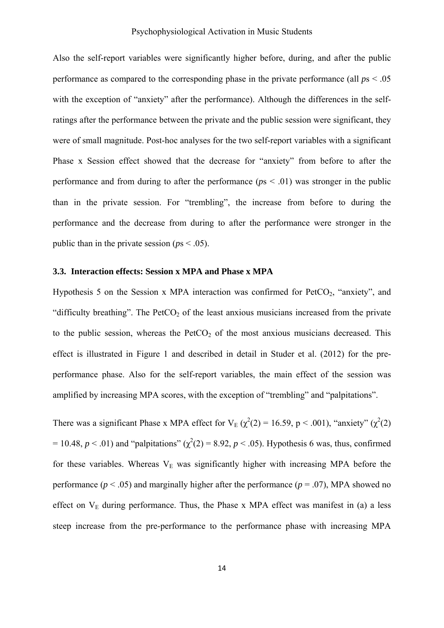Also the self-report variables were significantly higher before, during, and after the public performance as compared to the corresponding phase in the private performance (all *p*s < .05 with the exception of "anxiety" after the performance). Although the differences in the selfratings after the performance between the private and the public session were significant, they were of small magnitude. Post-hoc analyses for the two self-report variables with a significant Phase x Session effect showed that the decrease for "anxiety" from before to after the performance and from during to after the performance ( $p<sub>s</sub> < 0.01$ ) was stronger in the public than in the private session. For "trembling", the increase from before to during the performance and the decrease from during to after the performance were stronger in the public than in the private session ( $ps < .05$ ).

### **3.3. Interaction effects: Session x MPA and Phase x MPA**

Hypothesis 5 on the Session x MPA interaction was confirmed for  $PetCO<sub>2</sub>$ , "anxiety", and "difficulty breathing". The  $PetCO<sub>2</sub>$  of the least anxious musicians increased from the private to the public session, whereas the  $PetCO<sub>2</sub>$  of the most anxious musicians decreased. This effect is illustrated in Figure 1 and described in detail in Studer et al. (2012) for the preperformance phase. Also for the self-report variables, the main effect of the session was amplified by increasing MPA scores, with the exception of "trembling" and "palpitations".

There was a significant Phase x MPA effect for  $V_E$  ( $\chi^2(2) = 16.59$ , p < .001), "anxiety" ( $\chi^2(2)$ )  $= 10.48$ ,  $p < .01$ ) and "palpitations" ( $\chi^2(2) = 8.92$ ,  $p < .05$ ). Hypothesis 6 was, thus, confirmed for these variables. Whereas  $V<sub>E</sub>$  was significantly higher with increasing MPA before the performance ( $p < .05$ ) and marginally higher after the performance ( $p = .07$ ), MPA showed no effect on  $V_E$  during performance. Thus, the Phase x MPA effect was manifest in (a) a less steep increase from the pre-performance to the performance phase with increasing MPA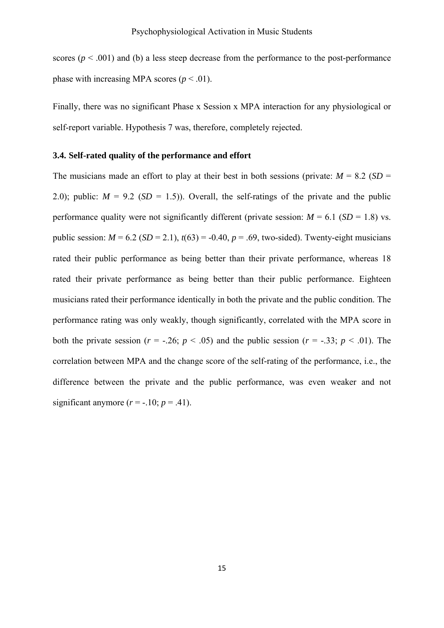scores ( $p < .001$ ) and (b) a less steep decrease from the performance to the post-performance phase with increasing MPA scores  $(p < .01)$ .

Finally, there was no significant Phase x Session x MPA interaction for any physiological or self-report variable. Hypothesis 7 was, therefore, completely rejected.

### **3.4. Self-rated quality of the performance and effort**

The musicians made an effort to play at their best in both sessions (private:  $M = 8.2$  (*SD* = 2.0); public:  $M = 9.2$  ( $SD = 1.5$ )). Overall, the self-ratings of the private and the public performance quality were not significantly different (private session:  $M = 6.1$  (*SD* = 1.8) vs. public session:  $M = 6.2$  (*SD* = 2.1),  $t(63) = -0.40$ ,  $p = .69$ , two-sided). Twenty-eight musicians rated their public performance as being better than their private performance, whereas 18 rated their private performance as being better than their public performance. Eighteen musicians rated their performance identically in both the private and the public condition. The performance rating was only weakly, though significantly, correlated with the MPA score in both the private session ( $r = -.26$ ;  $p < .05$ ) and the public session ( $r = -.33$ ;  $p < .01$ ). The correlation between MPA and the change score of the self-rating of the performance, i.e., the difference between the private and the public performance, was even weaker and not significant anymore  $(r = -.10; p = .41)$ .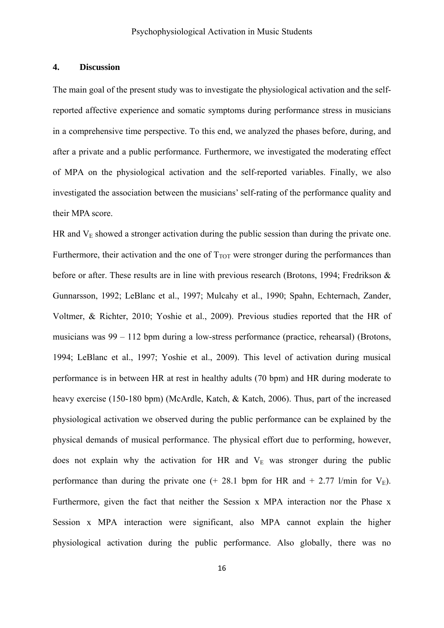### **4. Discussion**

The main goal of the present study was to investigate the physiological activation and the selfreported affective experience and somatic symptoms during performance stress in musicians in a comprehensive time perspective. To this end, we analyzed the phases before, during, and after a private and a public performance. Furthermore, we investigated the moderating effect of MPA on the physiological activation and the self-reported variables. Finally, we also investigated the association between the musicians' self-rating of the performance quality and their MPA score.

HR and  $V<sub>E</sub>$  showed a stronger activation during the public session than during the private one. Furthermore, their activation and the one of  $T_{TOT}$  were stronger during the performances than before or after. These results are in line with previous research (Brotons, 1994; Fredrikson & Gunnarsson, 1992; LeBlanc et al., 1997; Mulcahy et al., 1990; Spahn, Echternach, Zander, Voltmer, & Richter, 2010; Yoshie et al., 2009). Previous studies reported that the HR of musicians was 99 – 112 bpm during a low-stress performance (practice, rehearsal) (Brotons, 1994; LeBlanc et al., 1997; Yoshie et al., 2009). This level of activation during musical performance is in between HR at rest in healthy adults (70 bpm) and HR during moderate to heavy exercise (150-180 bpm) (McArdle, Katch, & Katch, 2006). Thus, part of the increased physiological activation we observed during the public performance can be explained by the physical demands of musical performance. The physical effort due to performing, however, does not explain why the activation for HR and  $V<sub>E</sub>$  was stronger during the public performance than during the private one  $(+ 28.1$  bpm for HR and  $+ 2.77$  l/min for  $V_E$ ). Furthermore, given the fact that neither the Session x MPA interaction nor the Phase x Session x MPA interaction were significant, also MPA cannot explain the higher physiological activation during the public performance. Also globally, there was no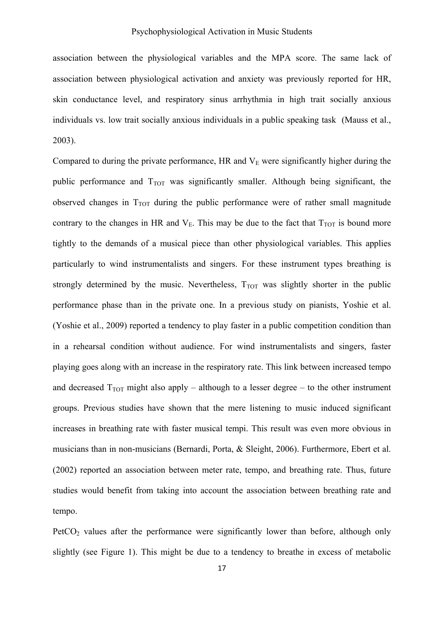association between the physiological variables and the MPA score. The same lack of association between physiological activation and anxiety was previously reported for HR, skin conductance level, and respiratory sinus arrhythmia in high trait socially anxious individuals vs. low trait socially anxious individuals in a public speaking task (Mauss et al., 2003).

Compared to during the private performance, HR and  $V<sub>E</sub>$  were significantly higher during the public performance and  $T_{TOT}$  was significantly smaller. Although being significant, the observed changes in  $T_{TOT}$  during the public performance were of rather small magnitude contrary to the changes in HR and  $V_E$ . This may be due to the fact that  $T_{TOT}$  is bound more tightly to the demands of a musical piece than other physiological variables. This applies particularly to wind instrumentalists and singers. For these instrument types breathing is strongly determined by the music. Nevertheless,  $T_{TOT}$  was slightly shorter in the public performance phase than in the private one. In a previous study on pianists, Yoshie et al. (Yoshie et al., 2009) reported a tendency to play faster in a public competition condition than in a rehearsal condition without audience. For wind instrumentalists and singers, faster playing goes along with an increase in the respiratory rate. This link between increased tempo and decreased  $T_{TOT}$  might also apply – although to a lesser degree – to the other instrument groups. Previous studies have shown that the mere listening to music induced significant increases in breathing rate with faster musical tempi. This result was even more obvious in musicians than in non-musicians (Bernardi, Porta, & Sleight, 2006). Furthermore, Ebert et al. (2002) reported an association between meter rate, tempo, and breathing rate. Thus, future studies would benefit from taking into account the association between breathing rate and tempo.

 $PetCO<sub>2</sub>$  values after the performance were significantly lower than before, although only slightly (see Figure 1). This might be due to a tendency to breathe in excess of metabolic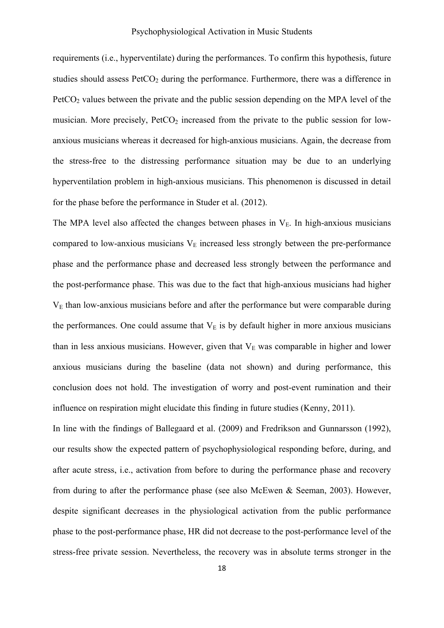requirements (i.e., hyperventilate) during the performances. To confirm this hypothesis, future studies should assess  $PetCO<sub>2</sub>$  during the performance. Furthermore, there was a difference in  $PetCO<sub>2</sub>$  values between the private and the public session depending on the MPA level of the musician. More precisely,  $PetCO<sub>2</sub>$  increased from the private to the public session for lowanxious musicians whereas it decreased for high-anxious musicians. Again, the decrease from the stress-free to the distressing performance situation may be due to an underlying hyperventilation problem in high-anxious musicians. This phenomenon is discussed in detail for the phase before the performance in Studer et al. (2012).

The MPA level also affected the changes between phases in  $V<sub>E</sub>$ . In high-anxious musicians compared to low-anxious musicians  $V<sub>E</sub>$  increased less strongly between the pre-performance phase and the performance phase and decreased less strongly between the performance and the post-performance phase. This was due to the fact that high-anxious musicians had higher  $V<sub>E</sub>$  than low-anxious musicians before and after the performance but were comparable during the performances. One could assume that  $V<sub>E</sub>$  is by default higher in more anxious musicians than in less anxious musicians. However, given that  $V<sub>E</sub>$  was comparable in higher and lower anxious musicians during the baseline (data not shown) and during performance, this conclusion does not hold. The investigation of worry and post-event rumination and their influence on respiration might elucidate this finding in future studies (Kenny, 2011).

In line with the findings of Ballegaard et al. (2009) and Fredrikson and Gunnarsson (1992), our results show the expected pattern of psychophysiological responding before, during, and after acute stress, i.e., activation from before to during the performance phase and recovery from during to after the performance phase (see also McEwen & Seeman, 2003). However, despite significant decreases in the physiological activation from the public performance phase to the post-performance phase, HR did not decrease to the post-performance level of the stress-free private session. Nevertheless, the recovery was in absolute terms stronger in the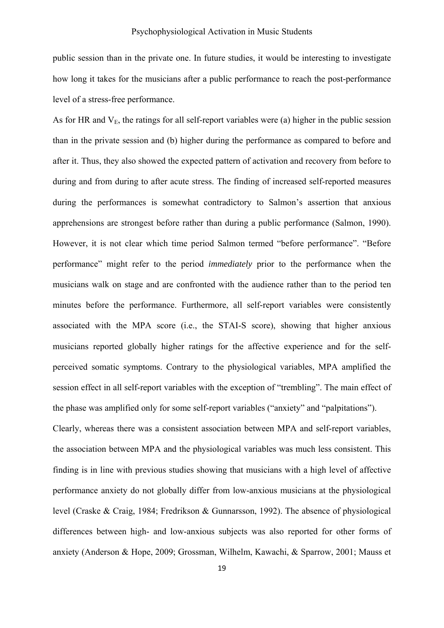### Psychophysiological Activation in Music Students

public session than in the private one. In future studies, it would be interesting to investigate how long it takes for the musicians after a public performance to reach the post-performance level of a stress-free performance.

As for HR and  $V_{E}$ , the ratings for all self-report variables were (a) higher in the public session than in the private session and (b) higher during the performance as compared to before and after it. Thus, they also showed the expected pattern of activation and recovery from before to during and from during to after acute stress. The finding of increased self-reported measures during the performances is somewhat contradictory to Salmon's assertion that anxious apprehensions are strongest before rather than during a public performance (Salmon, 1990). However, it is not clear which time period Salmon termed "before performance". "Before performance" might refer to the period *immediately* prior to the performance when the musicians walk on stage and are confronted with the audience rather than to the period ten minutes before the performance. Furthermore, all self-report variables were consistently associated with the MPA score (i.e., the STAI-S score), showing that higher anxious musicians reported globally higher ratings for the affective experience and for the selfperceived somatic symptoms. Contrary to the physiological variables, MPA amplified the session effect in all self-report variables with the exception of "trembling". The main effect of the phase was amplified only for some self-report variables ("anxiety" and "palpitations").

Clearly, whereas there was a consistent association between MPA and self-report variables, the association between MPA and the physiological variables was much less consistent. This finding is in line with previous studies showing that musicians with a high level of affective performance anxiety do not globally differ from low-anxious musicians at the physiological level (Craske & Craig, 1984; Fredrikson & Gunnarsson, 1992). The absence of physiological differences between high- and low-anxious subjects was also reported for other forms of anxiety (Anderson & Hope, 2009; Grossman, Wilhelm, Kawachi, & Sparrow, 2001; Mauss et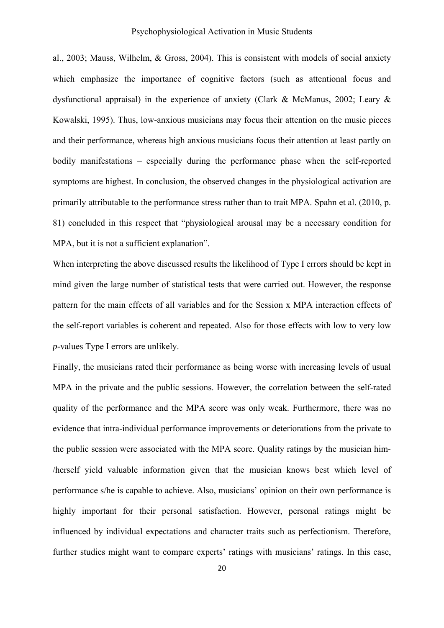### Psychophysiological Activation in Music Students

al., 2003; Mauss, Wilhelm, & Gross, 2004). This is consistent with models of social anxiety which emphasize the importance of cognitive factors (such as attentional focus and dysfunctional appraisal) in the experience of anxiety (Clark & McManus, 2002; Leary & Kowalski, 1995). Thus, low-anxious musicians may focus their attention on the music pieces and their performance, whereas high anxious musicians focus their attention at least partly on bodily manifestations – especially during the performance phase when the self-reported symptoms are highest. In conclusion, the observed changes in the physiological activation are primarily attributable to the performance stress rather than to trait MPA. Spahn et al. (2010, p. 81) concluded in this respect that "physiological arousal may be a necessary condition for MPA, but it is not a sufficient explanation".

When interpreting the above discussed results the likelihood of Type I errors should be kept in mind given the large number of statistical tests that were carried out. However, the response pattern for the main effects of all variables and for the Session x MPA interaction effects of the self-report variables is coherent and repeated. Also for those effects with low to very low *p*-values Type I errors are unlikely.

Finally, the musicians rated their performance as being worse with increasing levels of usual MPA in the private and the public sessions. However, the correlation between the self-rated quality of the performance and the MPA score was only weak. Furthermore, there was no evidence that intra-individual performance improvements or deteriorations from the private to the public session were associated with the MPA score. Quality ratings by the musician him- /herself yield valuable information given that the musician knows best which level of performance s/he is capable to achieve. Also, musicians' opinion on their own performance is highly important for their personal satisfaction. However, personal ratings might be influenced by individual expectations and character traits such as perfectionism. Therefore, further studies might want to compare experts' ratings with musicians' ratings. In this case,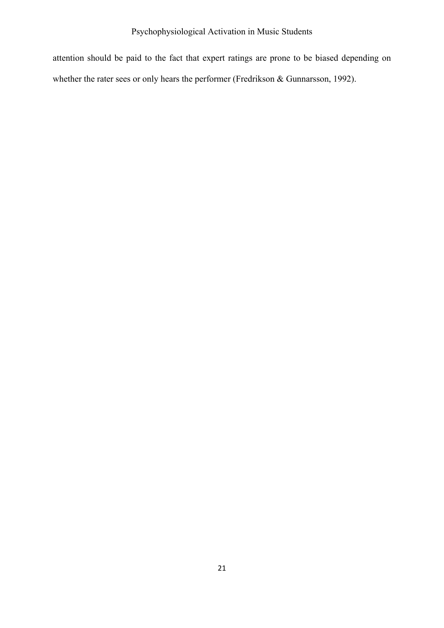attention should be paid to the fact that expert ratings are prone to be biased depending on whether the rater sees or only hears the performer (Fredrikson & Gunnarsson, 1992).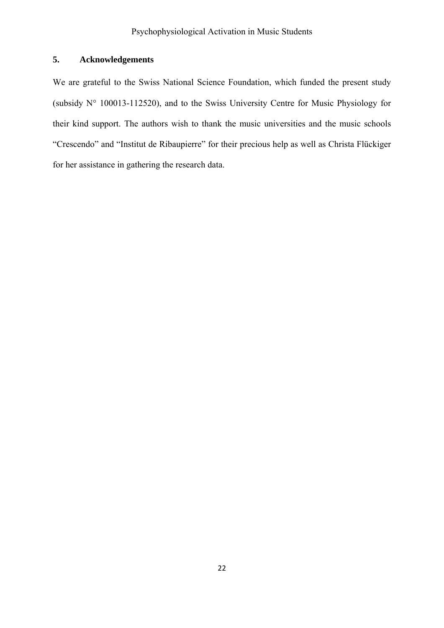# **5. Acknowledgements**

We are grateful to the Swiss National Science Foundation, which funded the present study (subsidy N° 100013-112520), and to the Swiss University Centre for Music Physiology for their kind support. The authors wish to thank the music universities and the music schools "Crescendo" and "Institut de Ribaupierre" for their precious help as well as Christa Flückiger for her assistance in gathering the research data.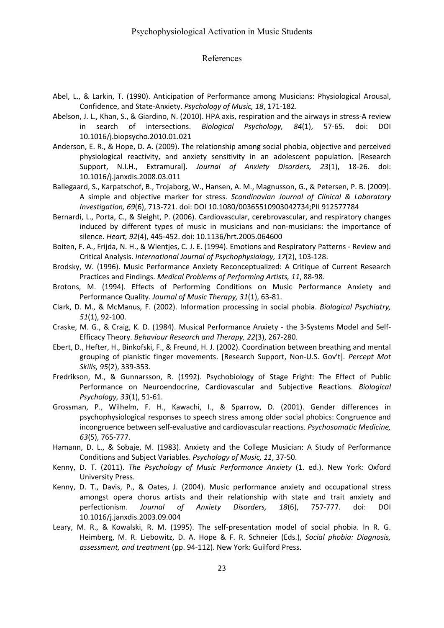### References

- Abel, L., & Larkin, T. (1990). Anticipation of Performance among Musicians: Physiological Arousal, Confidence, and State‐Anxiety. *Psychology of Music, 18*, 171‐182.
- Abelson, J. L., Khan, S., & Giardino, N. (2010). HPA axis, respiration and the airways in stress‐A review in search of intersections. *Biological Psychology, 84*(1), 57‐65. doi: DOI 10.1016/j.biopsycho.2010.01.021
- Anderson, E. R., & Hope, D. A. (2009). The relationship among social phobia, objective and perceived physiological reactivity, and anxiety sensitivity in an adolescent population. [Research Support, N.I.H., Extramural]. *Journal of Anxiety Disorders, 23*(1), 18‐26. doi: 10.1016/j.janxdis.2008.03.011
- Ballegaard, S., Karpatschof, B., Trojaborg, W., Hansen, A. M., Magnusson, G., & Petersen, P. B. (2009). A simple and objective marker for stress. *Scandinavian Journal of Clinical & Laboratory Investigation, 69*(6), 713‐721. doi: DOI 10.1080/00365510903042734;PII 912577784
- Bernardi, L., Porta, C., & Sleight, P. (2006). Cardiovascular, cerebrovascular, and respiratory changes induced by different types of music in musicians and non-musicians: the importance of silence. *Heart, 92*(4), 445‐452. doi: 10.1136/hrt.2005.064600
- Boiten, F. A., Frijda, N. H., & Wientjes, C. J. E. (1994). Emotions and Respiratory Patterns ‐ Review and Critical Analysis. *International Journal of Psychophysiology, 17*(2), 103‐128.
- Brodsky, W. (1996). Music Performance Anxiety Reconceptualized: A Critique of Current Research Practices and Findings. *Medical Problems of Performing Artists, 11*, 88‐98.
- Brotons, M. (1994). Effects of Performing Conditions on Music Performance Anxiety and Performance Quality. *Journal of Music Therapy, 31*(1), 63‐81.
- Clark, D. M., & McManus, F. (2002). Information processing in social phobia. *Biological Psychiatry, 51*(1), 92‐100.
- Craske, M. G., & Craig, K. D. (1984). Musical Performance Anxiety ‐ the 3‐Systems Model and Self‐ Efficacy Theory. *Behaviour Research and Therapy, 22*(3), 267‐280.
- Ebert, D., Hefter, H., Binkofski, F., & Freund, H. J. (2002). Coordination between breathing and mental grouping of pianistic finger movements. [Research Support, Non‐U.S. Gov't]. *Percept Mot Skills, 95*(2), 339‐353.
- Fredrikson, M., & Gunnarsson, R. (1992). Psychobiology of Stage Fright: The Effect of Public Performance on Neuroendocrine, Cardiovascular and Subjective Reactions. *Biological Psychology, 33*(1), 51‐61.
- Grossman, P., Wilhelm, F. H., Kawachi, I., & Sparrow, D. (2001). Gender differences in psychophysiological responses to speech stress among older social phobics: Congruence and incongruence between self‐evaluative and cardiovascular reactions. *Psychosomatic Medicine, 63*(5), 765‐777.
- Hamann, D. L., & Sobaje, M. (1983). Anxiety and the College Musician: A Study of Performance Conditions and Subject Variables. *Psychology of Music, 11*, 37‐50.
- Kenny, D. T. (2011). *The Psychology of Music Performance Anxiety* (1. ed.). New York: Oxford University Press.
- Kenny, D. T., Davis, P., & Oates, J. (2004). Music performance anxiety and occupational stress amongst opera chorus artists and their relationship with state and trait anxiety and perfectionism. *Journal of Anxiety Disorders, 18*(6), 757‐777. doi: DOI 10.1016/j.janxdis.2003.09.004
- Leary, M. R., & Kowalski, R. M. (1995). The self‐presentation model of social phobia. In R. G. Heimberg, M. R. Liebowitz, D. A. Hope & F. R. Schneier (Eds.), *Social phobia: Diagnosis, assessment, and treatment* (pp. 94‐112). New York: Guilford Press.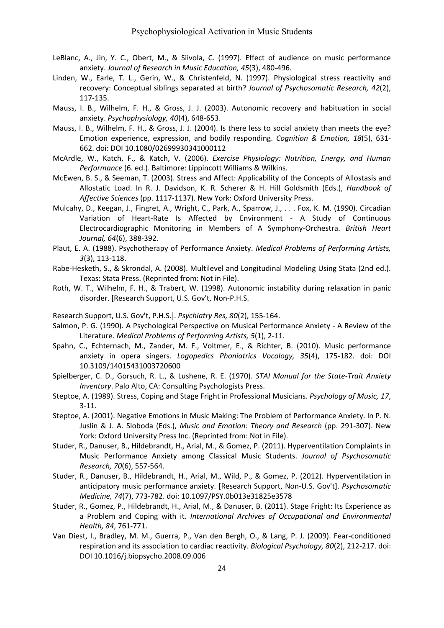- LeBlanc, A., Jin, Y. C., Obert, M., & Siivola, C. (1997). Effect of audience on music performance anxiety. *Journal of Research in Music Education, 45*(3), 480‐496.
- Linden, W., Earle, T. L., Gerin, W., & Christenfeld, N. (1997). Physiological stress reactivity and recovery: Conceptual siblings separated at birth? *Journal of Psychosomatic Research, 42*(2), 117‐135.
- Mauss, I. B., Wilhelm, F. H., & Gross, J. J. (2003). Autonomic recovery and habituation in social anxiety. *Psychophysiology, 40*(4), 648‐653.
- Mauss, I. B., Wilhelm, F. H., & Gross, J. J. (2004). Is there less to social anxiety than meets the eye? Emotion experience, expression, and bodily responding. *Cognition & Emotion, 18*(5), 631‐ 662. doi: DOI 10.1080/02699930341000112
- McArdle, W., Katch, F., & Katch, V. (2006). *Exercise Physiology: Nutrition, Energy, and Human Performance* (6. ed.). Baltimore: Lippincott Williams & Wilkins.
- McEwen, B. S., & Seeman, T. (2003). Stress and Affect: Applicability of the Concepts of Allostasis and Allostatic Load. In R. J. Davidson, K. R. Scherer & H. Hill Goldsmith (Eds.), *Handbook of Affective Sciences* (pp. 1117‐1137). New York: Oxford University Press.
- Mulcahy, D., Keegan, J., Fingret, A., Wright, C., Park, A., Sparrow, J., . . . Fox, K. M. (1990). Circadian Variation of Heart-Rate Is Affected by Environment - A Study of Continuous Electrocardiographic Monitoring in Members of A Symphony‐Orchestra. *British Heart Journal, 64*(6), 388‐392.
- Plaut, E. A. (1988). Psychotherapy of Performance Anxiety. *Medical Problems of Performing Artists, 3*(3), 113‐118.
- Rabe‐Hesketh, S., & Skrondal, A. (2008). Multilevel and Longitudinal Modeling Using Stata (2nd ed.). Texas: Stata Press. (Reprinted from: Not in File).
- Roth, W. T., Wilhelm, F. H., & Trabert, W. (1998). Autonomic instability during relaxation in panic disorder. [Research Support, U.S. Gov't, Non‐P.H.S.
- Research Support, U.S. Gov't, P.H.S.]. *Psychiatry Res, 80*(2), 155‐164.
- Salmon, P. G. (1990). A Psychological Perspective on Musical Performance Anxiety ‐ A Review of the Literature. *Medical Problems of Performing Artists, 5*(1), 2‐11.
- Spahn, C., Echternach, M., Zander, M. F., Voltmer, E., & Richter, B. (2010). Music performance anxiety in opera singers. *Logopedics Phoniatrics Vocology, 35*(4), 175‐182. doi: DOI 10.3109/14015431003720600
- Spielberger, C. D., Gorsuch, R. L., & Lushene, R. E. (1970). *STAI Manual for the State‐Trait Anxiety Inventory*. Palo Alto, CA: Consulting Psychologists Press.
- Steptoe, A. (1989). Stress, Coping and Stage Fright in Professional Musicians. *Psychology of Music, 17*, 3‐11.
- Steptoe, A. (2001). Negative Emotions in Music Making: The Problem of Performance Anxiety. In P. N. Juslin & J. A. Sloboda (Eds.), *Music and Emotion: Theory and Research* (pp. 291‐307). New York: Oxford University Press Inc. (Reprinted from: Not in File).
- Studer, R., Danuser, B., Hildebrandt, H., Arial, M., & Gomez, P. (2011). Hyperventilation Complaints in Music Performance Anxiety among Classical Music Students. *Journal of Psychosomatic Research, 70*(6), 557‐564.
- Studer, R., Danuser, B., Hildebrandt, H., Arial, M., Wild, P., & Gomez, P. (2012). Hyperventilation in anticipatory music performance anxiety. [Research Support, Non‐U.S. Gov't]. *Psychosomatic Medicine, 74*(7), 773‐782. doi: 10.1097/PSY.0b013e31825e3578
- Studer, R., Gomez, P., Hildebrandt, H., Arial, M., & Danuser, B. (2011). Stage Fright: Its Experience as a Problem and Coping with it. *International Archives of Occupational and Environmental Health, 84*, 761‐771.
- Van Diest, I., Bradley, M. M., Guerra, P., Van den Bergh, O., & Lang, P. J. (2009). Fear‐conditioned respiration and its association to cardiac reactivity. *Biological Psychology, 80*(2), 212‐217. doi: DOI 10.1016/j.biopsycho.2008.09.006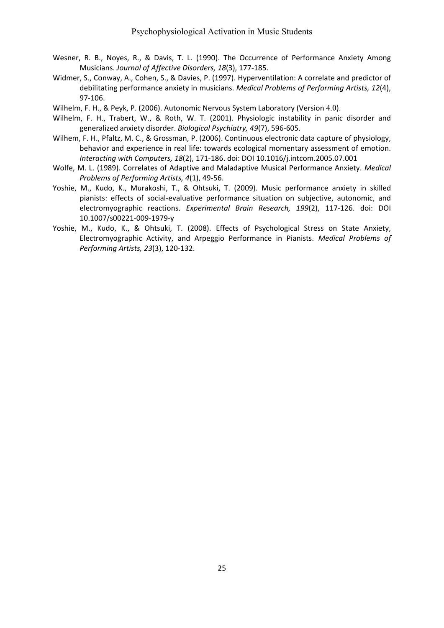- Wesner, R. B., Noyes, R., & Davis, T. L. (1990). The Occurrence of Performance Anxiety Among Musicians. *Journal of Affective Disorders, 18*(3), 177‐185.
- Widmer, S., Conway, A., Cohen, S., & Davies, P. (1997). Hyperventilation: A correlate and predictor of debilitating performance anxiety in musicians. *Medical Problems of Performing Artists, 12*(4), 97‐106.
- Wilhelm, F. H., & Peyk, P. (2006). Autonomic Nervous System Laboratory (Version 4.0).
- Wilhelm, F. H., Trabert, W., & Roth, W. T. (2001). Physiologic instability in panic disorder and generalized anxiety disorder. *Biological Psychiatry, 49*(7), 596‐605.
- Wilhem, F. H., Pfaltz, M. C., & Grossman, P. (2006). Continuous electronic data capture of physiology, behavior and experience in real life: towards ecological momentary assessment of emotion. *Interacting with Computers, 18*(2), 171‐186. doi: DOI 10.1016/j.intcom.2005.07.001
- Wolfe, M. L. (1989). Correlates of Adaptive and Maladaptive Musical Performance Anxiety. *Medical Problems of Performing Artists, 4*(1), 49‐56.
- Yoshie, M., Kudo, K., Murakoshi, T., & Ohtsuki, T. (2009). Music performance anxiety in skilled pianists: effects of social‐evaluative performance situation on subjective, autonomic, and electromyographic reactions. *Experimental Brain Research, 199*(2), 117‐126. doi: DOI 10.1007/s00221‐009‐1979‐y
- Yoshie, M., Kudo, K., & Ohtsuki, T. (2008). Effects of Psychological Stress on State Anxiety, Electromyographic Activity, and Arpeggio Performance in Pianists. *Medical Problems of Performing Artists, 23*(3), 120‐132.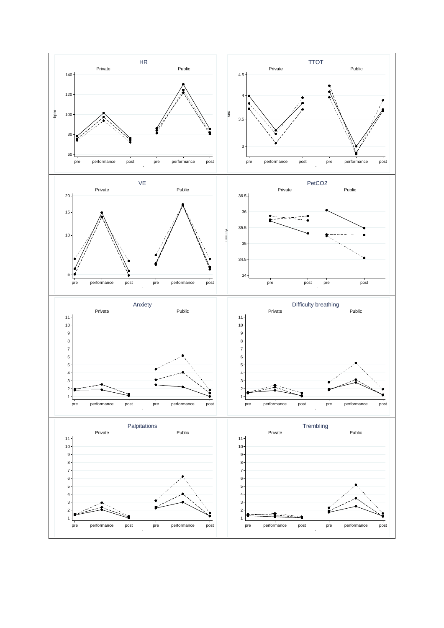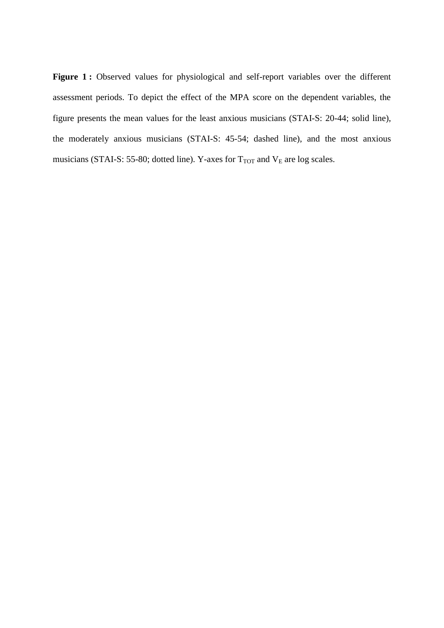Figure 1: Observed values for physiological and self-report variables over the different assessment periods. To depict the effect of the MPA score on the dependent variables, the figure presents the mean values for the least anxious musicians (STAI-S: 20-44; solid line), the moderately anxious musicians (STAI-S: 45-54; dashed line), and the most anxious musicians (STAI-S: 55-80; dotted line). Y-axes for  $T_{TOT}$  and  $V_{E}$  are log scales.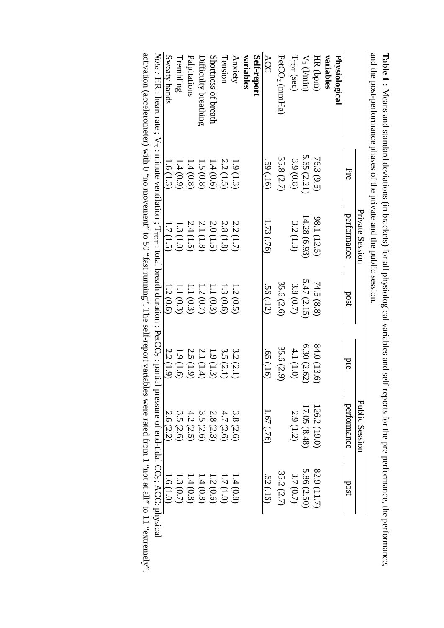| Private Session           |                                                                                                                                                                                               |                                                                                                                                                                                                                                | Public Session                                               |                                                                                                                                                                                                                                                                 |
|---------------------------|-----------------------------------------------------------------------------------------------------------------------------------------------------------------------------------------------|--------------------------------------------------------------------------------------------------------------------------------------------------------------------------------------------------------------------------------|--------------------------------------------------------------|-----------------------------------------------------------------------------------------------------------------------------------------------------------------------------------------------------------------------------------------------------------------|
| Pre<br>performance        | 180d                                                                                                                                                                                          | pre                                                                                                                                                                                                                            | pertormance                                                  | 180d                                                                                                                                                                                                                                                            |
|                           |                                                                                                                                                                                               |                                                                                                                                                                                                                                |                                                              |                                                                                                                                                                                                                                                                 |
|                           |                                                                                                                                                                                               |                                                                                                                                                                                                                                |                                                              |                                                                                                                                                                                                                                                                 |
| 76.3 (9.5)<br>98.1 (12.5) | 74.5 (8.8)                                                                                                                                                                                    | 84.0 (13.6)                                                                                                                                                                                                                    | 126.2 (19.0)                                                 | 82.9 (11.7)                                                                                                                                                                                                                                                     |
|                           |                                                                                                                                                                                               | 6.30(2.62)                                                                                                                                                                                                                     | 17.05(8.48)                                                  | 5.86(2.50)                                                                                                                                                                                                                                                      |
|                           | 3.8(0.7)                                                                                                                                                                                      | 4.1(1.0)                                                                                                                                                                                                                       | 2.9 (1.2)                                                    | 3.7(0.7)                                                                                                                                                                                                                                                        |
| 35.8 (2.7)                | 35.6 (2.6)                                                                                                                                                                                    | 35.6 (2.9)                                                                                                                                                                                                                     |                                                              | 35.2 (2.7)                                                                                                                                                                                                                                                      |
| .59(.16)<br>1.73(.76)     | .56 (.12)                                                                                                                                                                                     | $(91)$ S <sub>9</sub> .                                                                                                                                                                                                        | $(92)$ (24)                                                  | $(91.)\,29$                                                                                                                                                                                                                                                     |
|                           |                                                                                                                                                                                               |                                                                                                                                                                                                                                |                                                              |                                                                                                                                                                                                                                                                 |
| 1.9(1.3)<br>2.2 (1.7)     |                                                                                                                                                                                               | 3.2 (2.1)                                                                                                                                                                                                                      | 3.8 (2.6)                                                    | 1.4(0.8)                                                                                                                                                                                                                                                        |
| 2.2(1.5)                  |                                                                                                                                                                                               | 3.5(2.1)                                                                                                                                                                                                                       |                                                              | 1.7(1.0)                                                                                                                                                                                                                                                        |
|                           |                                                                                                                                                                                               |                                                                                                                                                                                                                                |                                                              | 1.2(0.6)                                                                                                                                                                                                                                                        |
|                           |                                                                                                                                                                                               |                                                                                                                                                                                                                                |                                                              | 1.4(0.8)                                                                                                                                                                                                                                                        |
|                           |                                                                                                                                                                                               |                                                                                                                                                                                                                                |                                                              | 1.4(0.8)                                                                                                                                                                                                                                                        |
|                           |                                                                                                                                                                                               |                                                                                                                                                                                                                                |                                                              | 1.3(0.7)                                                                                                                                                                                                                                                        |
| 1.6(1.3)                  |                                                                                                                                                                                               |                                                                                                                                                                                                                                |                                                              | 1.6(1.0)                                                                                                                                                                                                                                                        |
|                           |                                                                                                                                                                                               |                                                                                                                                                                                                                                |                                                              |                                                                                                                                                                                                                                                                 |
|                           | $5.65(2.21)$<br>3.9 (0.8)<br>$1.4(0.8)$<br>1.4 (0.8)<br>$1.4(0.6)$<br>1.5 (0.8)<br>14.28 (6.93)<br>3.2(1.3)<br>$2.0 (1.5)$<br>$2.1 (1.8)$<br>$2.4 (1.5)$<br>2.8 (1.8)<br>1.3(1.0)<br>1.7(1.5) | and the post-performance phases of the private and the public session<br>5.47(2.15)<br>$\begin{array}{l} 1.3\ (0.6) \\ 1.1\ (0.3) \\ 1.2\ (0.7) \\ 1.1\ (0.3) \\ 1.1\ (0.3) \\ 1.1\ (0.3) \end{array}$<br>1.2(0.6)<br>1.2(0.5) | 2.2 (1.9)<br>$1.9(1.3)$<br>2.1 (1.4)<br>2.5(1.9)<br>1.9(1.6) | Note : HR : heart rate ; $V_E$ : minute ventilation ; $T_{\text{TOT}}$ : total breath duration ; PetCO <sub>2</sub> : partial pressure of end-tidal CO <sub>2</sub> ; ACC: physical<br>3.5 (2.6)<br>2.6 (2.2)<br>4.2 (2.5)<br>3.5(2.6)<br>4.7 (2.6)<br>2.8(2.3) |

**Table 1** : Neans and actually actually are the contracts in the contract of the sequence of the contract of the contract of  $\mathbf{r}_i$ **:** Means and standard deviations (in brackets) for all physiological variables and self-reports for the pre-performance, the performance, the performance.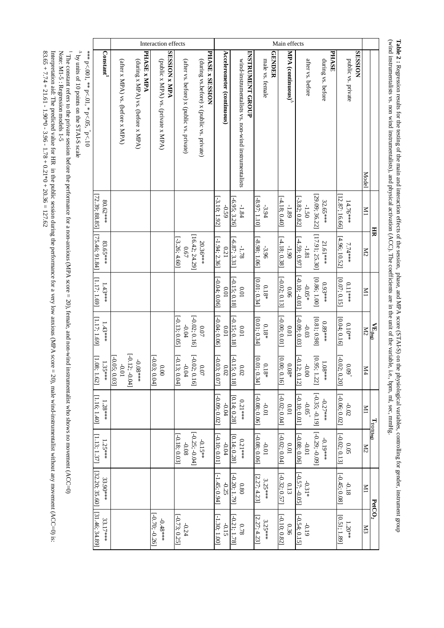Interaction effects Main effects **ARISION x MPA SESSION MPA** (continuous) **Constant 1** (after x MPA) vs. (before x MPA) (during x MPA) vs. (before x MPA) PHASE **x MPA PHASE x MPA** (public x MPA) vs. (private x MPA) **SESSION x MPA** (after vs. before) x (public vs. private) (during vs.before) x (public vs. private) PHASE **x SESSION PHASE x SESSION** Accelerometer (continuous) **Accelerometer (continuous)** wind-instrumentalists vs. non-wind instrumentalists INSTRUMENT GROUP **INSTRUMENT GROUP** male vs. female **GENDER MPA (continuous)** after vs. before during vs. before **PHASE** public vs. private (during x MPA) vs. (before x MPA) (public x MPA) vs. (private x MPA) (during vs.before) x (public vs. private) wind-instrumentalists vs. non-wind instrumentalists male vs. female during vs. before public vs. private (after x MPA) vs. (before x MPA) (after vs. before) x (public vs. private) after vs. before Model Model M1 [72.39; 88.85] [29.09; 36.22] [29.09; 36.22] [12.87; 16.66] 72.39; 88.85] 12.87; 16.66] [-3.10; 1.92] [-6.95; 3.26] [-8.97; 1.10] [-4.18; 0.40]  $[-4.18; 0.40]$ [-3.82; 0.82]  $[-3.10; 1.92]$  $-6.95; 3.26$  $[-8.97; 1.10]$  $[-3.82; 0.82]$ 80.62\*\*\* 32.65\*\*\* 14.76\*\*\* -1.84 -3.94 -0.59 -1.89 -1.50  $\overline{N}$ **HR** [17.91; 25.30]  $[75.46, 91.84]$ [75.46; 91.84] [16.42; 24.29] [17.91; 25.30]  $[16.42, 24.29]$  $[-8.98; 1.06]$  $[-4.18; 0.38]$  $[4.59; 0.97]$  $[4.96; 10.52]$ [4.96; 10.52]  $[-3.26; 4.60]$ [-3.26; 4.60]  $[-1.94; 2.36]$ [-1.94; 2.36]  $[-6.87; 3.31]$ [-6.87; 3.31] [-8.98; 1.06] [-4.18; 0.38] [-4.59; 0.97] 20.36\*\*\* 21.61\*\*\* 83.65\*\*\*\* 7.74\*\*\* -1.78 -3.96 -1.90 -1.81 0.67 0.21 M2 [-0.10; -0.01] [-0.04; 0.06] [-0.15; 0.18] [-0.02; 0.13] [0.86; 1.00]  $[-0.04; 0.06]$ [0.01; 0.34]  $-0.10$ ;  $-0.01$ [1.17; 1.69]  $-0.15; 0.18]$  $[-0.02; 0.13]$ [0.07; 0.15] 0.11\*\*\* 0.93\*\*\* 1.43\*\*\* 0.18\* -0.05\* 0.01 0.01 0.06 M1 [-0.13; 0.05]  $[-0.02; 0.16]$ [-0.02; 0.16]  $[-0.04; 0.06]$ [-0.04; 0.06] [-0.15; 0.18] [-0.00; 0.01] [-0.09; 0.03] [1.17; 1.69]  $[-0.00; 0.01]$ [0.81; 0.98]  $-0.13; 0.05]$  $-0.15; 0.18]$ [0.01; 0.34]  $-0.09; 0.03$ 0.89\*\*\* [0.04; 0.16] 1.43\*\*\* 0.10\*\* 0.18\* **VE**-0.04  $0.07$ 0.01 -0.03 0.01 0.01  $_{\rm M2}$ **(log)** $[-0.02; 0.16]$ [-0.12; -0.04]<br>-0.01 [-0.12; -0.04]  $[-0.13; 0.04]$ [-0.05; 0.03] [-0.03; 0.04] [-0.13; 0.04] [-0.02; 0.16]  $[-0.03; 0.07]$ [-0.03; 0.07] [-0.15; 0.18] [-0.12; 0.12] [0.95; 1.22] [-0.02; 0.20]  $[-0.03; 0.04]$ [0.01; 0.34] [0.00; 0.16]  $[-0.12; 0.12]$  $[-0.02;0.20]$ [1.08; 1.62] -0.08\*\*\*  $-0.15; 0.18$  $-0.05; 0.03$ 1.08\*\*\* 0.18\* 1.35\*\*\* 0.08\* 0.00 0.07 -0.00 -0.04 0.02 0.02 0.09 + M4  $[-0.35; -0.19]$ [-0.35; -0.19] [-0.09; 0.02] [-0.08; 0.06] [-0.02; 0.04]  $[-0.10; 0.01]$ [-0.10; 0.01] [-0.06; 0.02]  $[-0.09; 0.02]$  $[-0.08; 0.06]$  $[-0.02; 0.04]$  $[-0.06;0.02]$ [1.16; 1.40] [0.14; 0.28] -0.27\*\*\* 0.21\*\*\* 1.28\*\*\* -0.01 -0.02 -0.04 0.01 -0.05 + M1  $T_{\text{TOT(log)}}$ [-0.29; -0.09  $[-0.25; -0.04]$ [-0.25; -0.04] [-0.29; -0.09] [1.13; 1.37] [-0.18; 0.03] [-0.10; 0.01] [-0.08; 0.06] [-0.02; 0.04] [-0.08; 0.06] [-0.02; 0.13]  $[-0.18; 0.03]$  $[-0.10; 0.01]$ [0.14; 0.28]  $[-0.08; 0.06]$  $[-0.02; 0.04]$  $[-0.08; 0.06]$  $[-0.02; 0.13]$ 0.21\*\*\* -0.19\*\*\* -0.15\*\* 1.25\*\*\* -0.08 -0.01 -0.04 0.01 -0.01 0.05 M2 [32.20; 35.60]  $[32.20; 35.60]$  $[-0.57; -0.05]$ [-0.57; -0.05]  $[-1.45; 0.94]$ [-1.45; 0.94] [-0.20; 1.79]  $[-0.32; 0.57]$ [-0.32; 0.57]  $[-0.45; 0.08]$ [-0.45; 0.08]  $\boxed{0.20; 1.79}$ [2.27; 4.23] 33.90\*\*\* 3.25\*\*\* -0.25 0.80 0.13 -0.31\* -0.18 **N11 PetCO2**  $[31.46, 34.89]$ [31.46; 34.89] [-0.70; -0.26]  $[-0.70; -0.26]$  $[-0.73; 0.25]$ [-0.73; 0.25]  $[-1.30; 1.00]$ [-1.30; 1.00] [-0.21; 1.78] [-0.10; 0.82]  $[-0.54; 0.15]$ [-0.54; 0.15] [0.51; 1.89]  $-0.21; 1.78]$ [2.27; 4.23]  $[-0.10; 0.82]$ -0.48\*\*\* 3.25\*\*\* 33.17\*\*\* -0.24 1.20\*\* -0.15 0.78 0.36 -0.19  $\Xi$ 

(wind instrumentalists vs. non wind instrumentalists), and physical activation (ACC). The coefficients are in the unit of the variable, i.e., bpm, ml, sec, mmHg (wind instrumentalists vs. non wind instrumentalists), and physical activation (ACC). The coefficients are in the unit of the variable, i.e., bpm, ml, sec, mmHg. **Table 2 :** Regression results for the testing of the main and interaction effects of the session, phase, and MPA score (STAI-S) on the physiological variables, controlling for gender, instrument group Regression results for the testing of the main and interaction effects of the session, phase, and MPA score (STAI-S) on the physiological variables, controlling for gender, instrument group

\*\*\* p<.001, \*\* p<.01, \* p<.05,  $\sum_{+}^{\infty}$ 

 $^\mathrm{^\Delta}$  by units of 10 points on the STAI-S scale by units of 10 points on the STAI-S scale

Note: M1-5 : Regression models 1-5 The constant refers to the private session before the performance for a non-anxious (MPA score = 20), female, and non-wind instrumentalist who shows no movement (ACC=0) Note: M1-5 : Regression models 1-5 The private session before the performance for a non-anxious (XPAP score = 20), female, and non-anxious (XPAP score = 20), female, and non-wind instrumentalist who shocked the performance for a non-anxious (XPAP scheen fo

Interpretation aid: The predicted value for HR in the public session during the performance for a very low anxious (MPA score = 20), male wind-instrumentalist without any movement (ACC=0) is: Interpretation aid: The predict value of HR in the public session during the performance for a very low anxious (XHP x score = 20), male wind-instrumentalist without any movement (ACC=0). is:

 $83.65 + 7.74 + 21.61 - 1.90*0 - 3.96 - 1.78 + 0.21*0 + 20.36 = 127.62$ 83.65 + 7.74 + 21.61 - 1.90\*0 - 3.96 - 1.78 + 0.21\*0 + 20.36 = 127.62